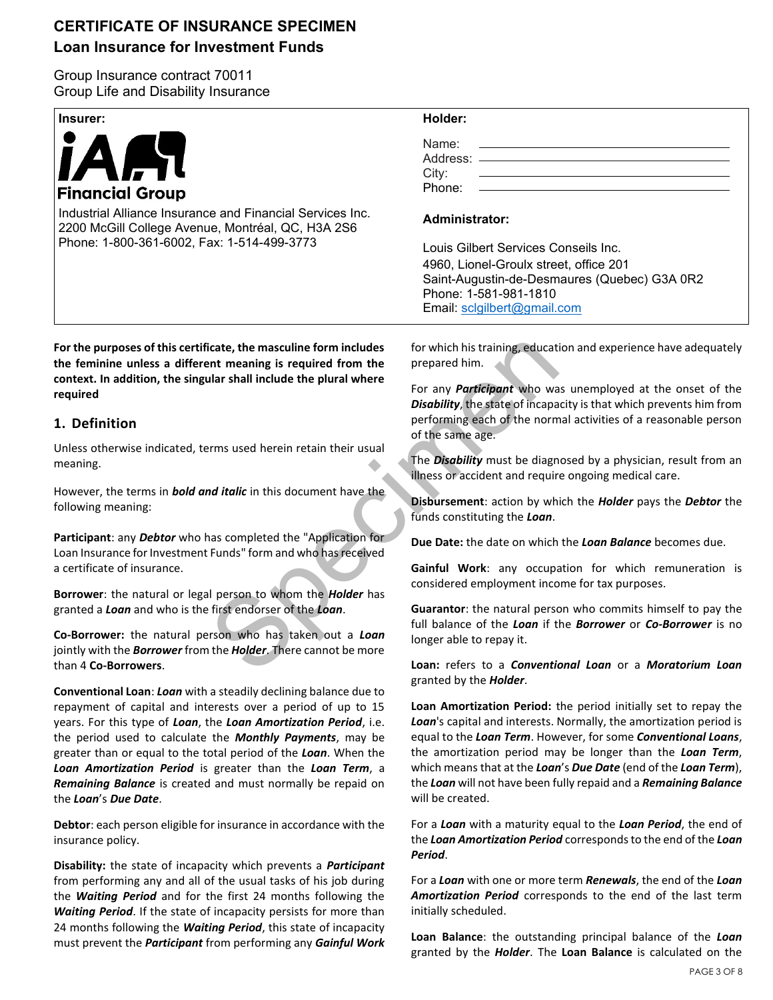# **CERTIFICATE OF INSURANCE SPECIMEN**

# **Loan Insurance for Investment Funds**

Group Insurance contract 70011 Group Life and Disability Insurance

| Insurer:                                                  | Holder:                                                                                                                                                                                                                                                                  |
|-----------------------------------------------------------|--------------------------------------------------------------------------------------------------------------------------------------------------------------------------------------------------------------------------------------------------------------------------|
| <b>IAAR</b><br><b>Financial Group</b>                     | Name:<br><u> 1980 - Jan Samuel Barbara, margaret e populari e populari e populari e populari e populari e populari e popu</u><br>City:<br>Phone:<br><u> 1989 - Johann Stein, mars an deutscher Stein und der Stein und der Stein und der Stein und der Stein und der</u> |
| Industrial Alliance Insurance and Financial Services Inc. | Adminictrator                                                                                                                                                                                                                                                            |

**Administrator:**

Louis Gilbert Services Conseils Inc. 4960, Lionel-Groulx street, office 201 Saint-Augustin-de-Desmaures (Quebec) G3A 0R2 Phone: 1-581-981-1810 Email: [sclgilbert@gmail.com](mailto:sclgilbert@gmail.com)

icate, the masculine form includes<br>
Internaling is required from the<br>
Internaling is required from the<br>
For any *Participant* who was<br>
Disability, the state of incapa<br>
performing each of the norm<br>
Internaling each of the n **For the purposes of this certificate, the masculine form includes the feminine unless a different meaning is required from the context. In addition, the singular shall include the plural where required**

2200 McGill College Avenue, Montréal, QC, H3A 2S6

Phone: 1-800-361-6002, Fax: 1-514-499-3773

# **1. Definition**

Unless otherwise indicated, terms used herein retain their usual meaning.

However, the terms in *bold and italic* in this document have the following meaning:

**Participant**: any *Debtor* who has completed the "Application for Loan Insurance for Investment Funds" form and who has received a certificate of insurance.

**Borrower**: the natural or legal person to whom the *Holder* has granted a *Loan* and who is the first endorser of the *Loan*.

**Co-Borrower:** the natural person who has taken out a *Loan* jointly with the *Borrower* from the *Holder*. There cannot be more than 4 **Co-Borrowers**.

**Conventional Loan**: *Loan* with a steadily declining balance due to repayment of capital and interests over a period of up to 15 years. For this type of *Loan*, the *Loan Amortization Period*, i.e. the period used to calculate the *Monthly Payments*, may be greater than or equal to the total period of the *Loan*. When the *Loan Amortization Period* is greater than the *Loan Term*, a *Remaining Balance* is created and must normally be repaid on the *Loan*'s *Due Date*.

**Debtor**: each person eligible for insurance in accordance with the insurance policy.

**Disability:** the state of incapacity which prevents a *Participant* from performing any and all of the usual tasks of his job during the *Waiting Period* and for the first 24 months following the *Waiting Period*. If the state of incapacity persists for more than 24 months following the *Waiting Period*, this state of incapacity must prevent the *Participant* from performing any *Gainful Work*  for which his training, education and experience have adequately prepared him.

For any *Participant* who was unemployed at the onset of the *Disability*, the state of incapacity is that which prevents him from performing each of the normal activities of a reasonable person of the same age.

The *Disability* must be diagnosed by a physician, result from an illness or accident and require ongoing medical care.

**Disbursement**: action by which the *Holder* pays the *Debtor* the funds constituting the *Loan*.

**Due Date:** the date on which the *Loan Balance* becomes due.

**Gainful Work**: any occupation for which remuneration is considered employment income for tax purposes.

**Guarantor**: the natural person who commits himself to pay the full balance of the *Loan* if the *Borrower* or *Co-Borrower* is no longer able to repay it.

**Loan:** refers to a *Conventional Loan* or a *Moratorium Loan* granted by the *Holder*.

**Loan Amortization Period:** the period initially set to repay the *Loan*'s capital and interests. Normally, the amortization period is equal to the *Loan Term*. However, for some *Conventional Loans*, the amortization period may be longer than the *Loan Term*, which means that at the *Loan*'s *Due Date* (end of the *Loan Term*), the *Loan* will not have been fully repaid and a *Remaining Balance* will be created.

For a *Loan* with a maturity equal to the *Loan Period*, the end of the *Loan Amortization Period* corresponds to the end of the *Loan Period*.

For a *Loan* with one or more term *Renewals*, the end of the *Loan Amortization Period* corresponds to the end of the last term initially scheduled.

**Loan Balance**: the outstanding principal balance of the *Loan* granted by the *Holder*. The **Loan Balance** is calculated on the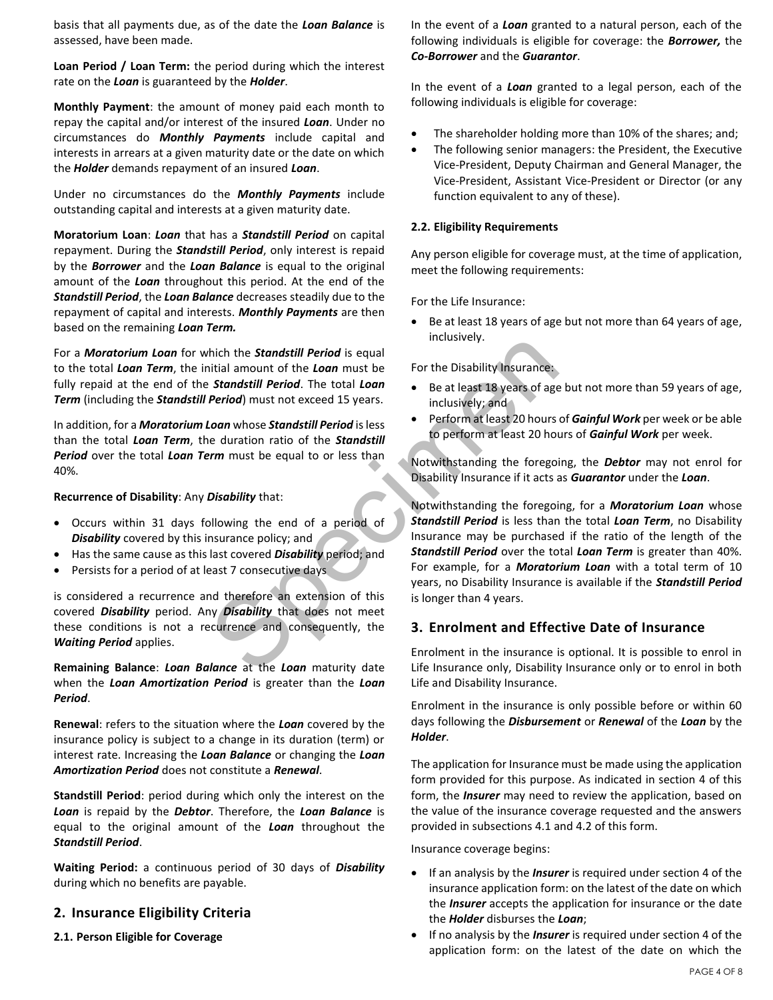basis that all payments due, as of the date the *Loan Balance* is assessed, have been made.

**Loan Period / Loan Term:** the period during which the interest rate on the *Loan* is guaranteed by the *Holder*.

**Monthly Payment**: the amount of money paid each month to repay the capital and/or interest of the insured *Loan*. Under no circumstances do *Monthly Payments* include capital and interests in arrears at a given maturity date or the date on which the *Holder* demands repayment of an insured *Loan*.

Under no circumstances do the *Monthly Payments* include outstanding capital and interests at a given maturity date.

**Moratorium Loan**: *Loan* that has a *Standstill Period* on capital repayment. During the *Standstill Period*, only interest is repaid by the *Borrower* and the *Loan Balance* is equal to the original amount of the *Loan* throughout this period. At the end of the *Standstill Period*, the *Loan Balance* decreases steadily due to the repayment of capital and interests. *Monthly Payments* are then based on the remaining *Loan Term.*

For a *Moratorium Loan* for which the *Standstill Period* is equal to the total *Loan Term*, the initial amount of the *Loan* must be fully repaid at the end of the *Standstill Period*. The total *Loan Term* (including the *Standstill Period*) must not exceed 15 years.

In addition, for a *Moratorium Loan* whose *Standstill Period* is less than the total *Loan Term*, the duration ratio of the *Standstill Period* over the total *Loan Term* must be equal to or less than 40%.

**Recurrence of Disability**: Any *Disability* that:

- Occurs within 31 days following the end of a period of *Disability* covered by this insurance policy; and
- Has the same cause as this last covered *Disability* period; and
- Persists for a period of at least 7 consecutive days

is considered a recurrence and therefore an extension of this covered *Disability* period. Any *Disability* that does not meet these conditions is not a recurrence and consequently, the *Waiting Period* applies.

**Remaining Balance**: *Loan Balance* at the *Loan* maturity date when the *Loan Amortization Period* is greater than the *Loan Period*.

**Renewal**: refers to the situation where the *Loan* covered by the insurance policy is subject to a change in its duration (term) or interest rate. Increasing the *Loan Balance* or changing the *Loan Amortization Period* does not constitute a *Renewal*.

**Standstill Period**: period during which only the interest on the *Loan* is repaid by the *Debtor*. Therefore, the *Loan Balance* is equal to the original amount of the *Loan* throughout the *Standstill Period*.

**Waiting Period:** a continuous period of 30 days of *Disability* during which no benefits are payable.

### **2. Insurance Eligibility Criteria**

**2.1. Person Eligible for Coverage**

In the event of a *Loan* granted to a natural person, each of the following individuals is eligible for coverage: the *Borrower,* the *Co-Borrower* and the *Guarantor*.

In the event of a *Loan* granted to a legal person, each of the following individuals is eligible for coverage:

- The shareholder holding more than 10% of the shares; and;
- The following senior managers: the President, the Executive Vice-President, Deputy Chairman and General Manager, the Vice-President, Assistant Vice-President or Director (or any function equivalent to any of these).

#### **2.2. Eligibility Requirements**

Any person eligible for coverage must, at the time of application, meet the following requirements:

For the Life Insurance:

Be at least 18 years of age but not more than 64 years of age, inclusively.

For the Disability Insurance:

- Be at least 18 years of age but not more than 59 years of age, inclusively; and
- Perform at least 20 hours of *Gainful Work* per week or be able to perform at least 20 hours of *Gainful Work* per week.

Notwithstanding the foregoing, the *Debtor* may not enrol for Disability Insurance if it acts as *Guarantor* under the *Loan*.

microsofter and the **Standstill Period** is equal<br>
inclusively.<br> **Standstill Period.** The total **Loan**<br> **Example 15 years of age**<br> **Period)** must not exceed 15 years.<br> **Loan** whose **Standstill Period** is less<br> **Example 15 y** Notwithstanding the foregoing, for a *Moratorium Loan* whose *Standstill Period* is less than the total *Loan Term*, no Disability Insurance may be purchased if the ratio of the length of the *Standstill Period* over the total *Loan Term* is greater than 40%. For example, for a *Moratorium Loan* with a total term of 10 years, no Disability Insurance is available if the *Standstill Period* is longer than 4 years.

### **3. Enrolment and Effective Date of Insurance**

Enrolment in the insurance is optional. It is possible to enrol in Life Insurance only, Disability Insurance only or to enrol in both Life and Disability Insurance.

Enrolment in the insurance is only possible before or within 60 days following the *Disbursement* or *Renewal* of the *Loan* by the *Holder*.

The application for Insurance must be made using the application form provided for this purpose. As indicated in section 4 of this form, the *Insurer* may need to review the application, based on the value of the insurance coverage requested and the answers provided in subsections 4.1 and 4.2 of this form.

Insurance coverage begins:

- If an analysis by the *Insurer* is required under section 4 of the insurance application form: on the latest of the date on which the *Insurer* accepts the application for insurance or the date the *Holder* disburses the *Loan*;
- If no analysis by the *Insurer* is required under section 4 of the application form: on the latest of the date on which the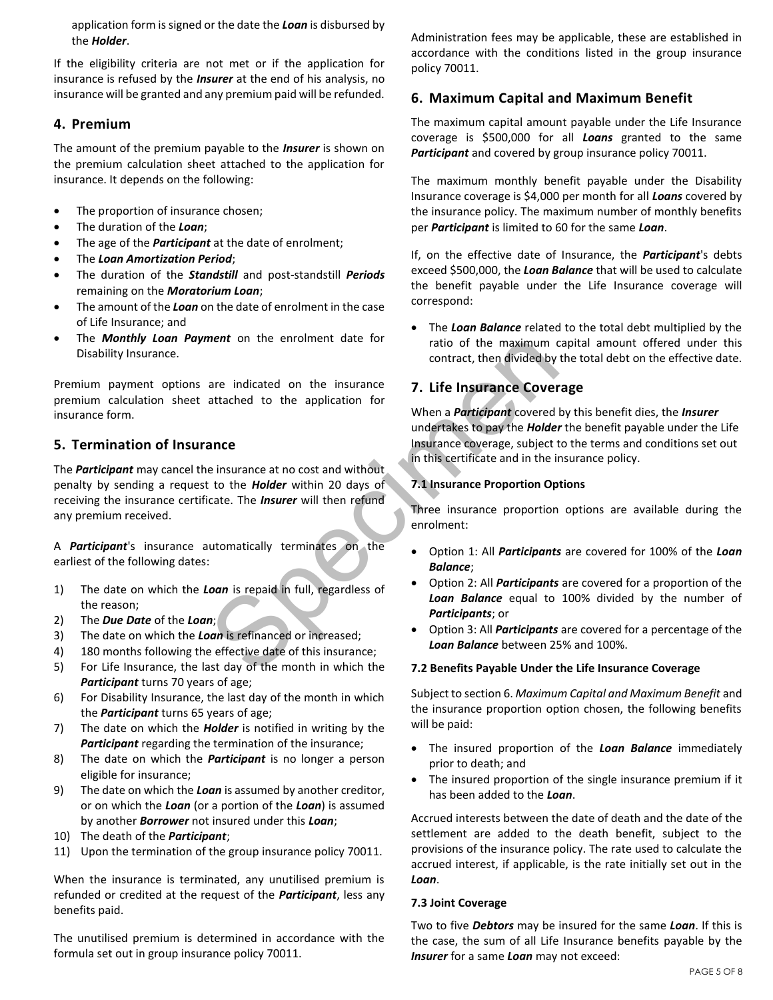application form is signed or the date the *Loan* is disbursed by the *Holder*.

If the eligibility criteria are not met or if the application for insurance is refused by the *Insurer* at the end of his analysis, no insurance will be granted and any premium paid will be refunded.

## **4. Premium**

The amount of the premium payable to the *Insurer* is shown on the premium calculation sheet attached to the application for insurance. It depends on the following:

- The proportion of insurance chosen;
- The duration of the *Loan*;
- The age of the *Participant* at the date of enrolment;
- The *Loan Amortization Period*;
- The duration of the *Standstill* and post-standstill *Periods* remaining on the *Moratorium Loan*;
- The amount of the *Loan* on the date of enrolment in the case of Life Insurance; and
- The *Monthly Loan Payment* on the enrolment date for Disability Insurance.

Premium payment options are indicated on the insurance premium calculation sheet attached to the application for insurance form.

# **5. Termination of Insurance**

ment on the enformed the insurance<br>
are indicated on the insurance<br>
are indicated to the application for<br>
the divided by<br>
are indicated to the application for<br>
when a *Participant* covered<br>
undertakes to pay the *Holder*<br> The *Participant* may cancel the insurance at no cost and without penalty by sending a request to the *Holder* within 20 days of receiving the insurance certificate. The *Insurer* will then refund any premium received.

A *Participant*'s insurance automatically terminates on the earliest of the following dates:

- 1) The date on which the *Loan* is repaid in full, regardless of the reason;
- 2) The *Due Date* of the *Loan*;
- 3) The date on which the *Loan* is refinanced or increased;
- 4) 180 months following the effective date of this insurance;
- 5) For Life Insurance, the last day of the month in which the *Participant* turns 70 years of age;
- 6) For Disability Insurance, the last day of the month in which the *Participant* turns 65 years of age;
- 7) The date on which the *Holder* is notified in writing by the *Participant* regarding the termination of the insurance;
- 8) The date on which the *Participant* is no longer a person eligible for insurance;
- 9) The date on which the *Loan* is assumed by another creditor, or on which the *Loan* (or a portion of the *Loan*) is assumed by another *Borrower* not insured under this *Loan*;
- 10) The death of the *Participant*;
- 11) Upon the termination of the group insurance policy 70011.

When the insurance is terminated, any unutilised premium is refunded or credited at the request of the *Participant*, less any benefits paid.

The unutilised premium is determined in accordance with the formula set out in group insurance policy 70011.

Administration fees may be applicable, these are established in accordance with the conditions listed in the group insurance policy 70011.

# **6. Maximum Capital and Maximum Benefit**

The maximum capital amount payable under the Life Insurance coverage is \$500,000 for all *Loans* granted to the same *Participant* and covered by group insurance policy 70011.

The maximum monthly benefit payable under the Disability Insurance coverage is \$4,000 per month for all *Loans* covered by the insurance policy. The maximum number of monthly benefits per *Participant* is limited to 60 for the same *Loan*.

If, on the effective date of Insurance, the *Participant*'s debts exceed \$500,000, the *Loan Balance* that will be used to calculate the benefit payable under the Life Insurance coverage will correspond:

• The *Loan Balance* related to the total debt multiplied by the ratio of the maximum capital amount offered under this contract, then divided by the total debt on the effective date.

# **7. Life Insurance Coverage**

When a *Participant* covered by this benefit dies, the *Insurer* undertakes to pay the *Holder* the benefit payable under the Life Insurance coverage, subject to the terms and conditions set out in this certificate and in the insurance policy.

### **7.1 Insurance Proportion Options**

Three insurance proportion options are available during the enrolment:

- Option 1: All *Participants* are covered for 100% of the *Loan Balance*;
- Option 2: All *Participants* are covered for a proportion of the *Loan Balance* equal to 100% divided by the number of *Participants*; or
- Option 3: All *Participants* are covered for a percentage of the *Loan Balance* between 25% and 100%.

#### **7.2 Benefits Payable Under the Life Insurance Coverage**

Subject to section 6. *Maximum Capital and Maximum Benefit* and the insurance proportion option chosen, the following benefits will be paid:

- The insured proportion of the *Loan Balance* immediately prior to death; and
- The insured proportion of the single insurance premium if it has been added to the *Loan*.

Accrued interests between the date of death and the date of the settlement are added to the death benefit, subject to the provisions of the insurance policy. The rate used to calculate the accrued interest, if applicable, is the rate initially set out in the *Loan*.

#### **7.3 Joint Coverage**

Two to five *Debtors* may be insured for the same *Loan*. If this is the case, the sum of all Life Insurance benefits payable by the *Insurer* for a same *Loan* may not exceed: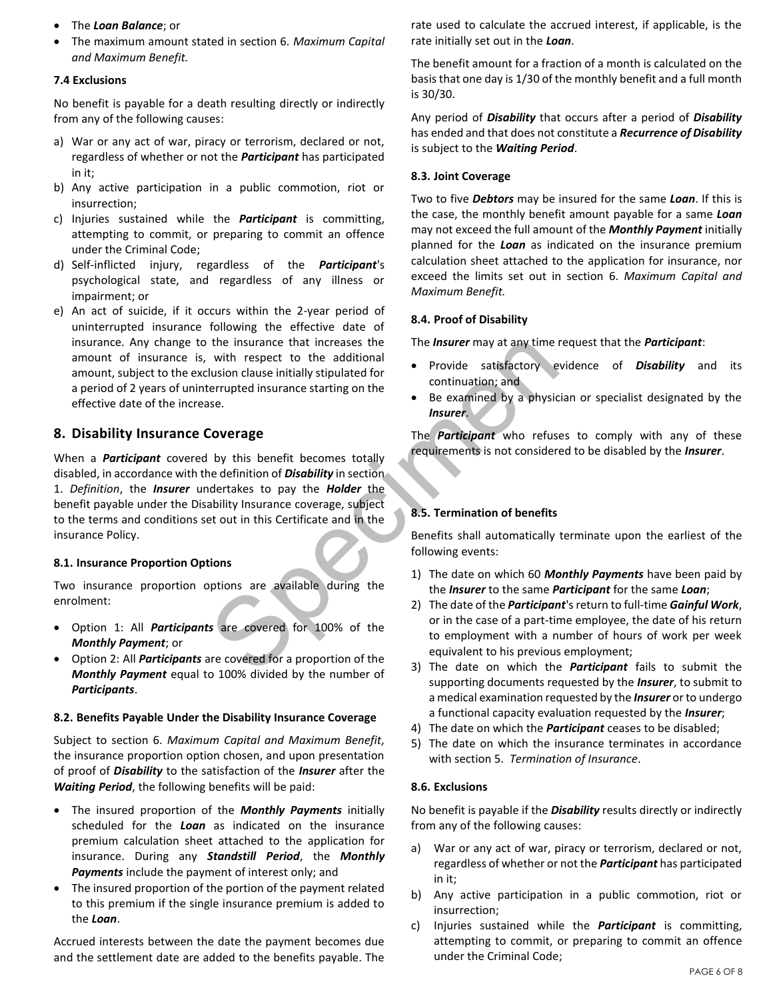- The *Loan Balance*; or
- The maximum amount stated in section 6*. Maximum Capital and Maximum Benefit.*

#### **7.4 Exclusions**

No benefit is payable for a death resulting directly or indirectly from any of the following causes:

- a) War or any act of war, piracy or terrorism, declared or not, regardless of whether or not the *Participant* has participated in it;
- b) Any active participation in a public commotion, riot or insurrection;
- c) Injuries sustained while the *Participant* is committing, attempting to commit, or preparing to commit an offence under the Criminal Code;
- d) Self-inflicted injury, regardless of the *Participant*'s psychological state, and regardless of any illness or impairment; or
- e) An act of suicide, if it occurs within the 2-year period of uninterrupted insurance following the effective date of insurance. Any change to the insurance that increases the amount of insurance is, with respect to the additional amount, subject to the exclusion clause initially stipulated for a period of 2 years of uninterrupted insurance starting on the effective date of the increase.

### **8. Disability Insurance Coverage**

the insurance that increases the<br>
union clause initially stipulated for<br>
lusion clause initially stipulated for<br>
security<br>
spectrup is the security of the server of the security of the security<br>
specification of Disability When a *Participant* covered by this benefit becomes totally disabled, in accordance with the definition of *Disability* in section 1. *Definition*, the *Insurer* undertakes to pay the *Holder* the benefit payable under the Disability Insurance coverage, subject to the terms and conditions set out in this Certificate and in the insurance Policy.

#### **8.1. Insurance Proportion Options**

Two insurance proportion options are available during the enrolment:

- Option 1: All *Participants* are covered for 100% of the *Monthly Payment*; or
- Option 2: All *Participants* are covered for a proportion of the *Monthly Payment* equal to 100% divided by the number of *Participants*.

#### **8.2. Benefits Payable Under the Disability Insurance Coverage**

Subject to section 6. *Maximum Capital and Maximum Benefit,* the insurance proportion option chosen, and upon presentation of proof of *Disability* to the satisfaction of the *Insurer* after the *Waiting Period*, the following benefits will be paid:

- The insured proportion of the *Monthly Payments* initially scheduled for the *Loan* as indicated on the insurance premium calculation sheet attached to the application for insurance. During any *Standstill Period*, the *Monthly Payments* include the payment of interest only; and
- The insured proportion of the portion of the payment related to this premium if the single insurance premium is added to the *Loan*.

Accrued interests between the date the payment becomes due and the settlement date are added to the benefits payable. The rate used to calculate the accrued interest, if applicable, is the rate initially set out in the *Loan*.

The benefit amount for a fraction of a month is calculated on the basis that one day is 1/30 of the monthly benefit and a full month is 30/30.

Any period of *Disability* that occurs after a period of *Disability* has ended and that does not constitute a *Recurrence of Disability* is subject to the *Waiting Period*.

#### **8.3. Joint Coverage**

Two to five *Debtors* may be insured for the same *Loan*. If this is the case, the monthly benefit amount payable for a same *Loan* may not exceed the full amount of the *Monthly Payment* initially planned for the *Loan* as indicated on the insurance premium calculation sheet attached to the application for insurance, nor exceed the limits set out in section 6. *Maximum Capital and Maximum Benefit.*

#### **8.4. Proof of Disability**

The *Insurer* may at any time request that the *Participant*:

- Provide satisfactory evidence of *Disability* and its continuation; and
- Be examined by a physician or specialist designated by the *Insurer*.

The *Participant* who refuses to comply with any of these requirements is not considered to be disabled by the *Insurer*.

### **8.5. Termination of benefits**

Benefits shall automatically terminate upon the earliest of the following events:

- 1) The date on which 60 *Monthly Payments* have been paid by the *Insurer* to the same *Participant* for the same *Loan*;
- 2) The date of the *Participant*'s return to full-time *Gainful Work*, or in the case of a part-time employee, the date of his return to employment with a number of hours of work per week equivalent to his previous employment;
- 3) The date on which the *Participant* fails to submit the supporting documents requested by the *Insurer*, to submit to a medical examination requested by the *Insurer* or to undergo a functional capacity evaluation requested by the *Insurer*;
- 4) The date on which the *Participant* ceases to be disabled;
- 5) The date on which the insurance terminates in accordance with section 5. *Termination of Insurance*.

#### **8.6. Exclusions**

No benefit is payable if the *Disability* results directly or indirectly from any of the following causes:

- a) War or any act of war, piracy or terrorism, declared or not, regardless of whether or not the *Participant* has participated in it;
- b) Any active participation in a public commotion, riot or insurrection;
- c) Injuries sustained while the *Participant* is committing, attempting to commit, or preparing to commit an offence under the Criminal Code;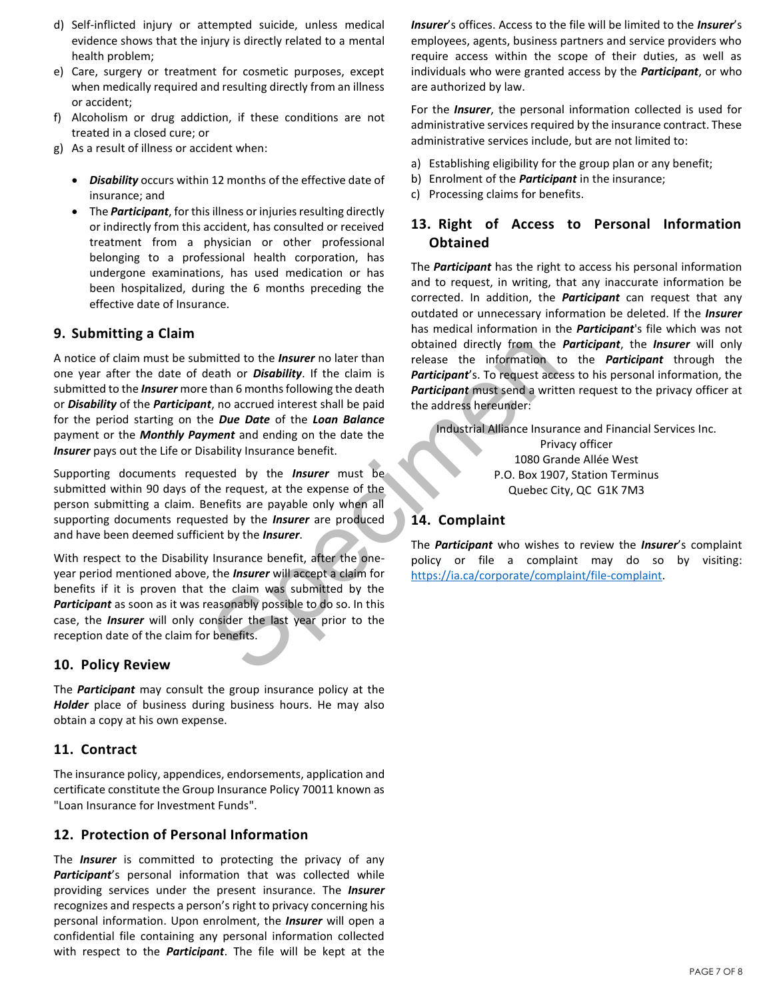- d) Self-inflicted injury or attempted suicide, unless medical evidence shows that the injury is directly related to a mental health problem;
- e) Care, surgery or treatment for cosmetic purposes, except when medically required and resulting directly from an illness or accident;
- f) Alcoholism or drug addiction, if these conditions are not treated in a closed cure; or
- g) As a result of illness or accident when:
	- *Disability* occurs within 12 months of the effective date of insurance; and
	- The *Participant*, for this illness or injuries resulting directly or indirectly from this accident, has consulted or received treatment from a physician or other professional belonging to a professional health corporation, has undergone examinations, has used medication or has been hospitalized, during the 6 months preceding the effective date of Insurance.

# **9. Submitting a Claim**

mitted to the *Insurer* no later than<br>
eath or *Disability*. If the claim is<br>
than 6 months following the death<br>
t, no accrued interest shall be paid<br>
the address hereunder:<br>
t, no accrued interest shall be paid<br>
the addre A notice of claim must be submitted to the *Insurer* no later than one year after the date of death or *Disability*. If the claim is submitted to the *Insurer* more than 6 months following the death or *Disability* of the *Participant*, no accrued interest shall be paid for the period starting on the *Due Date* of the *Loan Balance* payment or the *Monthly Payment* and ending on the date the *Insurer* pays out the Life or Disability Insurance benefit.

Supporting documents requested by the *Insurer* must be submitted within 90 days of the request, at the expense of the person submitting a claim. Benefits are payable only when all supporting documents requested by the *Insurer* are produced and have been deemed sufficient by the *Insurer*.

With respect to the Disability Insurance benefit, after the oneyear period mentioned above, the *Insurer* will accept a claim for benefits if it is proven that the claim was submitted by the *Participant* as soon as it was reasonably possible to do so. In this case, the *Insurer* will only consider the last year prior to the reception date of the claim for benefits.

### **10. Policy Review**

The *Participant* may consult the group insurance policy at the *Holder* place of business during business hours. He may also obtain a copy at his own expense.

# **11. Contract**

The insurance policy, appendices, endorsements, application and certificate constitute the Group Insurance Policy 70011 known as "Loan Insurance for Investment Funds".

# **12. Protection of Personal Information**

The *Insurer* is committed to protecting the privacy of any *Participant*'s personal information that was collected while providing services under the present insurance. The *Insurer* recognizes and respects a person's right to privacy concerning his personal information. Upon enrolment, the *Insurer* will open a confidential file containing any personal information collected with respect to the *Participant*. The file will be kept at the *Insurer*'s offices. Access to the file will be limited to the *Insurer*'s employees, agents, business partners and service providers who require access within the scope of their duties, as well as individuals who were granted access by the *Participant*, or who are authorized by law.

For the *Insurer*, the personal information collected is used for administrative services required by the insurance contract. These administrative services include, but are not limited to:

- a) Establishing eligibility for the group plan or any benefit;
- b) Enrolment of the *Participant* in the insurance;
- c) Processing claims for benefits.

# **13. Right of Access to Personal Information Obtained**

The *Participant* has the right to access his personal information and to request, in writing, that any inaccurate information be corrected. In addition, the *Participant* can request that any outdated or unnecessary information be deleted. If the *Insurer* has medical information in the *Participant*'s file which was not obtained directly from the *Participant*, the *Insurer* will only release the information to the *Participant* through the *Participant*'s. To request access to his personal information, the *Participant* must send a written request to the privacy officer at the address hereunder:

Industrial Alliance Insurance and Financial Services Inc. Privacy officer 1080 Grande Allée West P.O. Box 1907, Station Terminus Quebec City, QC G1K 7M3

# **14. Complaint**

The *Participant* who wishes to review the *Insurer*'s complaint policy or file a complaint may do so by visiting: [https://ia.ca/corporate/complaint/file-complaint.](https://ia.ca/corporate/complaint/file-complaint)